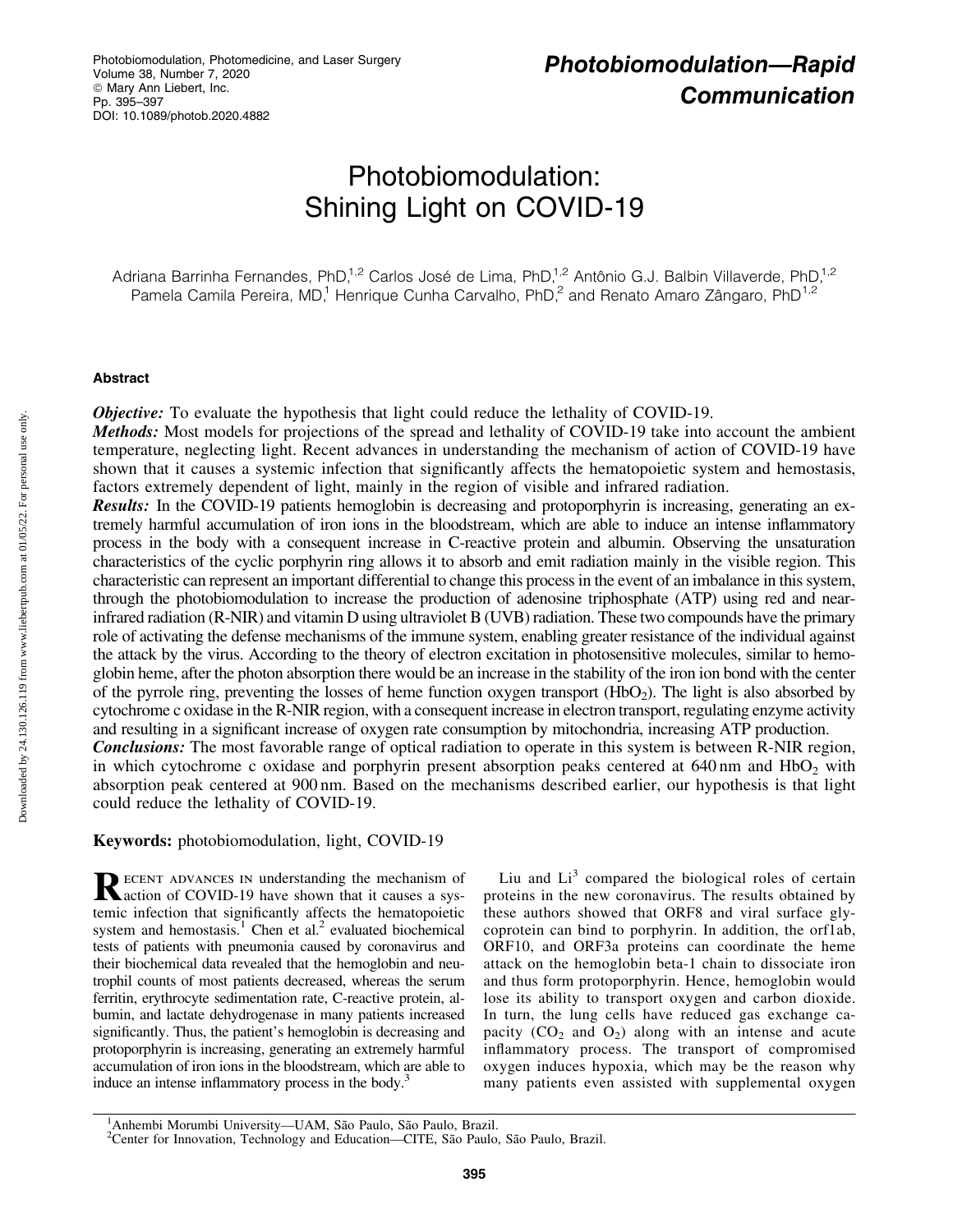# Photobiomodulation: Shining Light on COVID-19

Adriana Barrinha Fernandes, PhD,<sup>1,2</sup> Carlos José de Lima, PhD,<sup>1,2</sup> Antônio G.J. Balbin Villaverde, PhD,<sup>1,2</sup> Pamela Camila Pereira, MD,<sup>1</sup> Henrique Cunha Carvalho, PhD,<sup>2</sup> and Renato Amaro Zângaro, PhD<sup>1,2</sup>

#### Abstract

**Objective:** To evaluate the hypothesis that light could reduce the lethality of COVID-19.

Methods: Most models for projections of the spread and lethality of COVID-19 take into account the ambient temperature, neglecting light. Recent advances in understanding the mechanism of action of COVID-19 have shown that it causes a systemic infection that significantly affects the hematopoietic system and hemostasis, factors extremely dependent of light, mainly in the region of visible and infrared radiation.

Results: In the COVID-19 patients hemoglobin is decreasing and protoporphyrin is increasing, generating an extremely harmful accumulation of iron ions in the bloodstream, which are able to induce an intense inflammatory process in the body with a consequent increase in C-reactive protein and albumin. Observing the unsaturation characteristics of the cyclic porphyrin ring allows it to absorb and emit radiation mainly in the visible region. This characteristic can represent an important differential to change this process in the event of an imbalance in this system, through the photobiomodulation to increase the production of adenosine triphosphate (ATP) using red and nearinfrared radiation (R-NIR) and vitamin D using ultraviolet B (UVB) radiation. These two compounds have the primary role of activating the defense mechanisms of the immune system, enabling greater resistance of the individual against the attack by the virus. According to the theory of electron excitation in photosensitive molecules, similar to hemoglobin heme, after the photon absorption there would be an increase in the stability of the iron ion bond with the center of the pyrrole ring, preventing the losses of heme function oxygen transport  $(HbO<sub>2</sub>)$ . The light is also absorbed by cytochrome c oxidase in the R-NIR region, with a consequent increase in electron transport, regulating enzyme activity and resulting in a significant increase of oxygen rate consumption by mitochondria, increasing ATP production. **Conclusions:** The most favorable range of optical radiation to operate in this system is between R-NIR region, in which cytochrome c oxidase and porphyrin present absorption peaks centered at  $640 \text{ nm}$  and  $HbO<sub>2</sub>$  with absorption peak centered at 900 nm. Based on the mechanisms described earlier, our hypothesis is that light could reduce the lethality of COVID-19.

## Keywords: photobiomodulation, light, COVID-19

RECENT ADVANCES IN understanding the mechanism of COVID-19 have shown that it causes a systemic infection that significantly affects the hematopoietic system and hemostasis.<sup>1</sup> Chen et al.<sup>2</sup> evaluated biochemical tests of patients with pneumonia caused by coronavirus and their biochemical data revealed that the hemoglobin and neutrophil counts of most patients decreased, whereas the serum ferritin, erythrocyte sedimentation rate, C-reactive protein, albumin, and lactate dehydrogenase in many patients increased significantly. Thus, the patient's hemoglobin is decreasing and protoporphyrin is increasing, generating an extremely harmful accumulation of iron ions in the bloodstream, which are able to induce an intense inflammatory process in the body.<sup>3</sup>

Liu and  $Li<sup>3</sup>$  compared the biological roles of certain proteins in the new coronavirus. The results obtained by these authors showed that ORF8 and viral surface glycoprotein can bind to porphyrin. In addition, the orf1ab, ORF10, and ORF3a proteins can coordinate the heme attack on the hemoglobin beta-1 chain to dissociate iron and thus form protoporphyrin. Hence, hemoglobin would lose its ability to transport oxygen and carbon dioxide. In turn, the lung cells have reduced gas exchange capacity  $(CO_2$  and  $O_2$ ) along with an intense and acute inflammatory process. The transport of compromised oxygen induces hypoxia, which may be the reason why many patients even assisted with supplemental oxygen

Downloaded by 24.130.126.119 from www.liebertpub.com at 01/05/22. For personal use only. Downloaded by 24.130.126.119 from www.liebertpub.com at 01/05/22. For personal use only

<sup>&</sup>lt;sup>1</sup> Anhembi Morumbi University—UAM, São Paulo, São Paulo, Brazil.<br><sup>2</sup> Center for Innovation, Technology and Education—CITE, São Paulo, São Paulo, Brazil.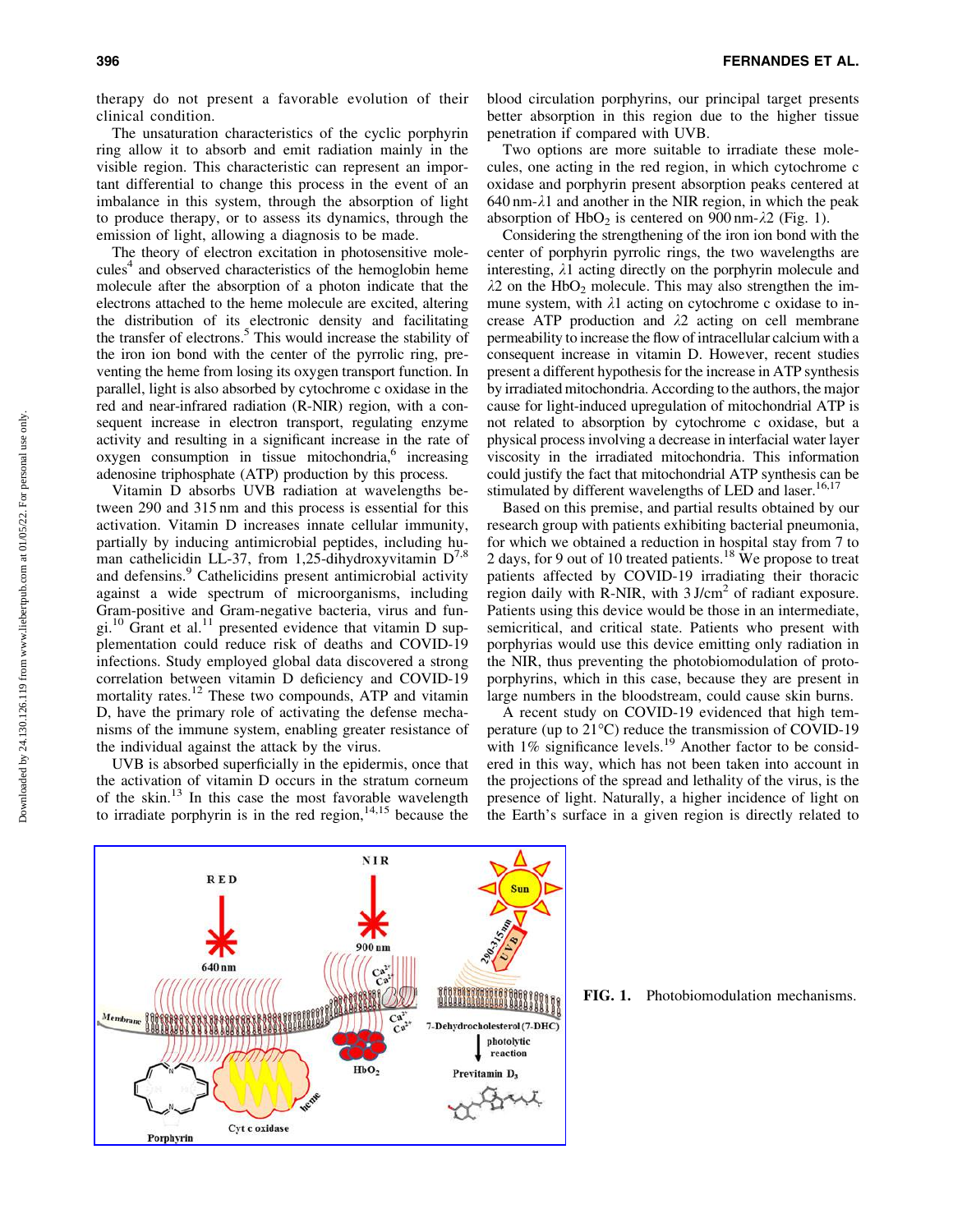therapy do not present a favorable evolution of their clinical condition.

The unsaturation characteristics of the cyclic porphyrin ring allow it to absorb and emit radiation mainly in the visible region. This characteristic can represent an important differential to change this process in the event of an imbalance in this system, through the absorption of light to produce therapy, or to assess its dynamics, through the emission of light, allowing a diagnosis to be made.

The theory of electron excitation in photosensitive molecules<sup>4</sup> and observed characteristics of the hemoglobin heme molecule after the absorption of a photon indicate that the electrons attached to the heme molecule are excited, altering the distribution of its electronic density and facilitating the transfer of electrons.<sup>5</sup> This would increase the stability of the iron ion bond with the center of the pyrrolic ring, preventing the heme from losing its oxygen transport function. In parallel, light is also absorbed by cytochrome c oxidase in the red and near-infrared radiation (R-NIR) region, with a consequent increase in electron transport, regulating enzyme activity and resulting in a significant increase in the rate of  $oxygen$  consumption in tissue mitochondria, $o$  increasing adenosine triphosphate (ATP) production by this process.

Vitamin D absorbs UVB radiation at wavelengths between 290 and 315 nm and this process is essential for this activation. Vitamin D increases innate cellular immunity, partially by inducing antimicrobial peptides, including human cathelicidin LL-37, from 1,25-dihydroxyvitamin  $D^{7,8}$ and defensins.<sup>9</sup> Cathelicidins present antimicrobial activity against a wide spectrum of microorganisms, including Gram-positive and Gram-negative bacteria, virus and fungi.<sup>10</sup> Grant et al.<sup>11</sup> presented evidence that vitamin D supplementation could reduce risk of deaths and COVID-19 infections. Study employed global data discovered a strong correlation between vitamin D deficiency and COVID-19 mortality rates.<sup>12</sup> These two compounds, ATP and vitamin D, have the primary role of activating the defense mechanisms of the immune system, enabling greater resistance of the individual against the attack by the virus.

UVB is absorbed superficially in the epidermis, once that the activation of vitamin D occurs in the stratum corneum of the skin. $13$  In this case the most favorable wavelength to irradiate porphyrin is in the red region,  $14,15$  because the

blood circulation porphyrins, our principal target presents better absorption in this region due to the higher tissue penetration if compared with UVB.

Two options are more suitable to irradiate these molecules, one acting in the red region, in which cytochrome c oxidase and porphyrin present absorption peaks centered at  $640 \text{ nm}$ - $\lambda$ 1 and another in the NIR region, in which the peak absorption of  $HbO<sub>2</sub>$  is centered on 900 nm- $\lambda$ 2 (Fig. 1).

Considering the strengthening of the iron ion bond with the center of porphyrin pyrrolic rings, the two wavelengths are interesting,  $\lambda$ 1 acting directly on the porphyrin molecule and  $\lambda$ 2 on the HbO<sub>2</sub> molecule. This may also strengthen the immune system, with  $\lambda$ 1 acting on cytochrome c oxidase to increase ATP production and  $\lambda$ 2 acting on cell membrane permeability to increase the flow of intracellular calcium with a consequent increase in vitamin D. However, recent studies present a different hypothesis for the increase in ATP synthesis by irradiated mitochondria. According to the authors, the major cause for light-induced upregulation of mitochondrial ATP is not related to absorption by cytochrome c oxidase, but a physical process involving a decrease in interfacial water layer viscosity in the irradiated mitochondria. This information could justify the fact that mitochondrial ATP synthesis can be stimulated by different wavelengths of LED and laser.<sup>16,17</sup>

Based on this premise, and partial results obtained by our research group with patients exhibiting bacterial pneumonia, for which we obtained a reduction in hospital stay from 7 to 2 days, for 9 out of 10 treated patients.<sup>18</sup> We propose to treat patients affected by COVID-19 irradiating their thoracic region daily with R-NIR, with  $3$  J/cm<sup>2</sup> of radiant exposure. Patients using this device would be those in an intermediate, semicritical, and critical state. Patients who present with porphyrias would use this device emitting only radiation in the NIR, thus preventing the photobiomodulation of protoporphyrins, which in this case, because they are present in large numbers in the bloodstream, could cause skin burns.

A recent study on COVID-19 evidenced that high temperature (up to 21°C) reduce the transmission of COVID-19 with  $1\%$  significance levels.<sup>19</sup> Another factor to be considered in this way, which has not been taken into account in the projections of the spread and lethality of the virus, is the presence of light. Naturally, a higher incidence of light on the Earth's surface in a given region is directly related to



FIG. 1. Photobiomodulation mechanisms.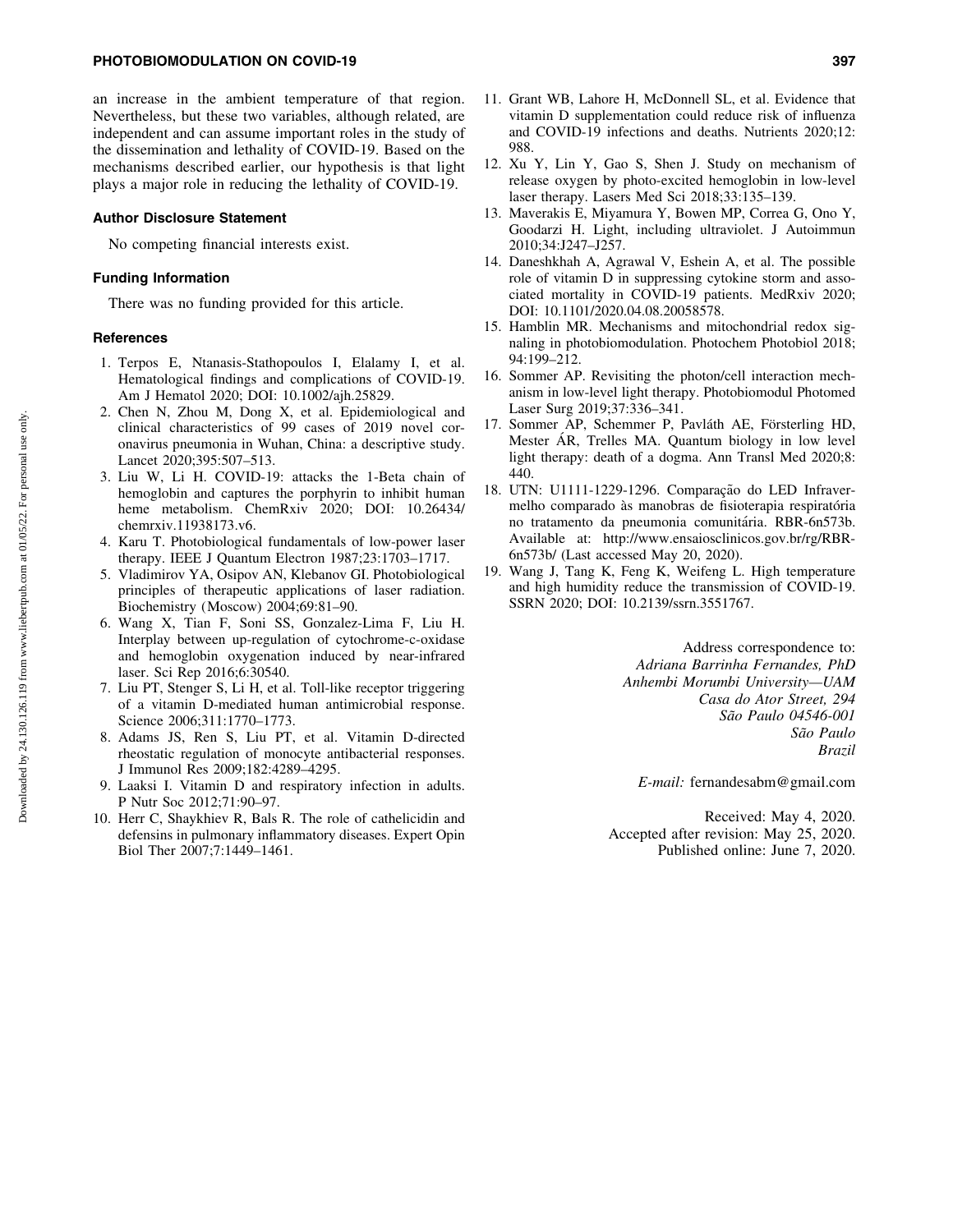an increase in the ambient temperature of that region. Nevertheless, but these two variables, although related, are independent and can assume important roles in the study of the dissemination and lethality of COVID-19. Based on the mechanisms described earlier, our hypothesis is that light plays a major role in reducing the lethality of COVID-19.

#### Author Disclosure Statement

No competing financial interests exist.

#### Funding Information

There was no funding provided for this article.

#### **References**

- 1. Terpos E, Ntanasis-Stathopoulos I, Elalamy I, et al. Hematological findings and complications of COVID-19. Am J Hematol 2020; DOI: 10.1002/ajh.25829.
- 2. Chen N, Zhou M, Dong X, et al. Epidemiological and clinical characteristics of 99 cases of 2019 novel coronavirus pneumonia in Wuhan, China: a descriptive study. Lancet 2020;395:507–513.
- 3. Liu W, Li H. COVID-19: attacks the 1-Beta chain of hemoglobin and captures the porphyrin to inhibit human heme metabolism. ChemRxiv 2020; DOI: 10.26434/ chemrxiv.11938173.v6.
- 4. Karu T. Photobiological fundamentals of low-power laser therapy. IEEE J Quantum Electron 1987;23:1703–1717.
- 5. Vladimirov YA, Osipov AN, Klebanov GI. Photobiological principles of therapeutic applications of laser radiation. Biochemistry (Moscow) 2004;69:81–90.
- 6. Wang X, Tian F, Soni SS, Gonzalez-Lima F, Liu H. Interplay between up-regulation of cytochrome-c-oxidase and hemoglobin oxygenation induced by near-infrared laser. Sci Rep 2016;6:30540.
- 7. Liu PT, Stenger S, Li H, et al. Toll-like receptor triggering of a vitamin D-mediated human antimicrobial response. Science 2006;311:1770–1773.
- 8. Adams JS, Ren S, Liu PT, et al. Vitamin D-directed rheostatic regulation of monocyte antibacterial responses. J Immunol Res 2009;182:4289–4295.
- 9. Laaksi I. Vitamin D and respiratory infection in adults. P Nutr Soc 2012;71:90–97.
- 10. Herr C, Shaykhiev R, Bals R. The role of cathelicidin and defensins in pulmonary inflammatory diseases. Expert Opin Biol Ther 2007;7:1449–1461.
- 11. Grant WB, Lahore H, McDonnell SL, et al. Evidence that vitamin D supplementation could reduce risk of influenza and COVID-19 infections and deaths. Nutrients 2020;12: 988.
- 12. Xu Y, Lin Y, Gao S, Shen J. Study on mechanism of release oxygen by photo-excited hemoglobin in low-level laser therapy. Lasers Med Sci 2018;33:135–139.
- 13. Maverakis E, Miyamura Y, Bowen MP, Correa G, Ono Y, Goodarzi H. Light, including ultraviolet. J Autoimmun 2010;34:J247–J257.
- 14. Daneshkhah A, Agrawal V, Eshein A, et al. The possible role of vitamin D in suppressing cytokine storm and associated mortality in COVID-19 patients. MedRxiv 2020; DOI: 10.1101/2020.04.08.20058578.
- 15. Hamblin MR. Mechanisms and mitochondrial redox signaling in photobiomodulation. Photochem Photobiol 2018; 94:199–212.
- 16. Sommer AP. Revisiting the photon/cell interaction mechanism in low-level light therapy. Photobiomodul Photomed Laser Surg 2019;37:336–341.
- 17. Sommer AP, Schemmer P, Pavláth AE, Försterling HD, Mester ÁR, Trelles MA. Quantum biology in low level light therapy: death of a dogma. Ann Transl Med 2020;8: 440.
- 18. UTN: U1111-1229-1296. Comparação do LED Infravermelho comparado às manobras de fisioterapia respiratória no tratamento da pneumonia comunitária. RBR-6n573b. Available at: http://www.ensaiosclinicos.gov.br/rg/RBR-6n573b/ (Last accessed May 20, 2020).
- 19. Wang J, Tang K, Feng K, Weifeng L. High temperature and high humidity reduce the transmission of COVID-19. SSRN 2020; DOI: 10.2139/ssrn.3551767.

Address correspondence to: *Adriana Barrinha Fernandes, PhD Anhembi Morumbi University—UAM Casa do Ator Street, 294 Sa˜o Paulo 04546-001 Sa˜o Paulo Brazil*

*E-mail:* fernandesabm@gmail.com

Received: May 4, 2020. Accepted after revision: May 25, 2020. Published online: June 7, 2020.